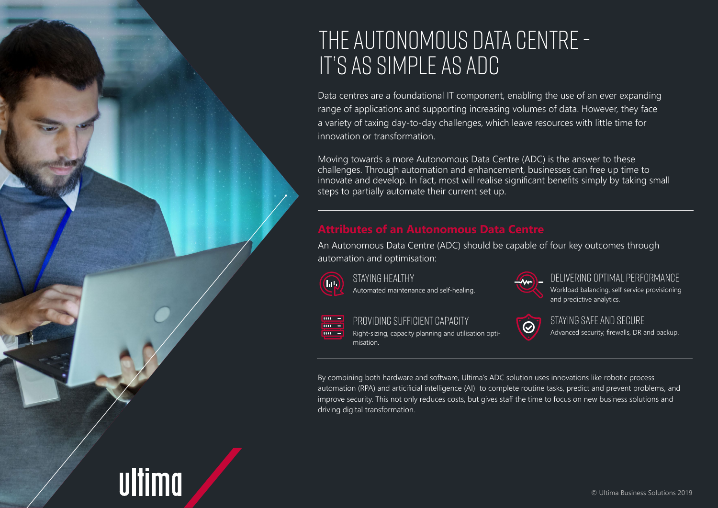# The Autonomous Data Centre - It's as simple as ADC

Data centres are a foundational IT component, enabling the use of an ever expanding range of applications and supporting increasing volumes of data. However, they face a variety of taxing day-to-day challenges, which leave resources with little time for innovation or transformation.

Moving towards a more Autonomous Data Centre (ADC) is the answer to these challenges. Through automation and enhancement, businesses can free up time to innovate and develop. In fact, most will realise significant benefits simply by taking small steps to partially automate their current set up.

An Autonomous Data Centre (ADC) should be capable of four key outcomes through automation and optimisation:



 $\mathbf{m}$   $=$ 

 $\overline{m}$  =  $\mathbf{m} =$ 

ultima

Staying healthy Automated maintenance and self-healing.

Delivering optimal performance Workload balancing, self service provisioning and predictive analytics.



Providing sufficient capacity

Right-sizing, capacity planning and utilisation optimisation.

 $\odot$ 

Staying safe and secure Advanced security, firewalls, DR and backup.

By combining both hardware and software, Ultima's ADC solution uses innovations like robotic process automation (RPA) and articificial intelligence (AI) to complete routine tasks, predict and prevent problems, and improve security. This not only reduces costs, but gives staff the time to focus on new business solutions and driving digital transformation.